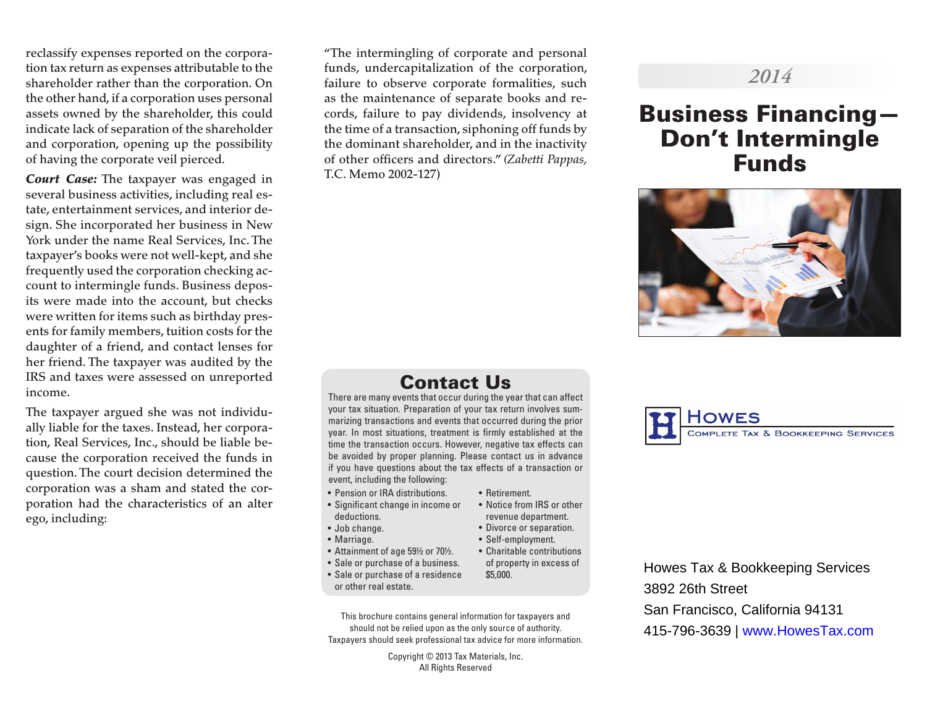reclassify expenses reported on the corporation tax return as expenses attributable to the shareholder rather than the corporation. On the other hand, if a corporation uses personal assets owned by the shareholder, this could indicate lack of separation of the shareholder and corporation, opening up the possibility of having the corporate veil pierced.

*Court Case:* The taxpayer was engaged in several business activities, including real estate, entertainment services, and interior design. She incorporated her business in New York under the name Real Services, Inc. The taxpayer's books were not well-kept, and she frequently used the corporation checking account to intermingle funds. Business deposits were made into the account, but checks were written for items such as birthday presents for family members, tuition costs for the daughter of a friend, and contact lenses for her friend. The taxpayer was audited by the IRS and taxes were assessed on unreported income.

The taxpayer argued she was not individually liable for the taxes. Instead, her corporation, Real Services, Inc., should be liable because the corporation received the funds in question. The court decision determined the corporation was a sham and stated the corporation had the characteristics of an alter ego, including:

"The intermingling of corporate and personal funds, undercapitalization of the corporation, failure to observe corporate formalities, such as the maintenance of separate books and records, failure to pay dividends, insolvency at the time of a transaction, siphoning off funds by the dominant shareholder, and in the inactivity of other officers and directors." *(Zabetti Pappas,*  T.C. Memo 2002-127)

## Contact Us

There are many events that occur during the year that can affect your tax situation. Preparation of your tax return involves summarizing transactions and events that occurred during the prior year. In most situations, treatment is firmly established at the time the transaction occurs. However, negative tax effects can be avoided by proper planning. Please contact us in advance if you have questions about the tax effects of a transaction or event, including the following:

- Pension or IRA distributions.
- Significant change in income or deductions.
- Job change.
- Marriage.
- Attainment of age 59½ or 70½.
- Sale or purchase of a business.
- Sale or purchase of a residence or other real estate.
- This brochure contains general information for taxpayers and should not be relied upon as the only source of authority. Taxpayers should seek professional tax advice for more information.

Copyright © 2013 Tax Materials, Inc. All Rights Reserved

#### • Retirement. • Notice from IRS or other

- revenue department.
- Divorce or separation.
- Self-employment.
- Charitable contributions of property in excess of \$5,000.

Howes Tax & Bookkeeping Services 3892 26th Street San Francisco, California 94131 415-796-3639 | www.HowesTax.com

## *2014*

# Business Financing— Don't Intermingle Funds



**COMPLETE TAX & BOOKKEEPING SERVICES**